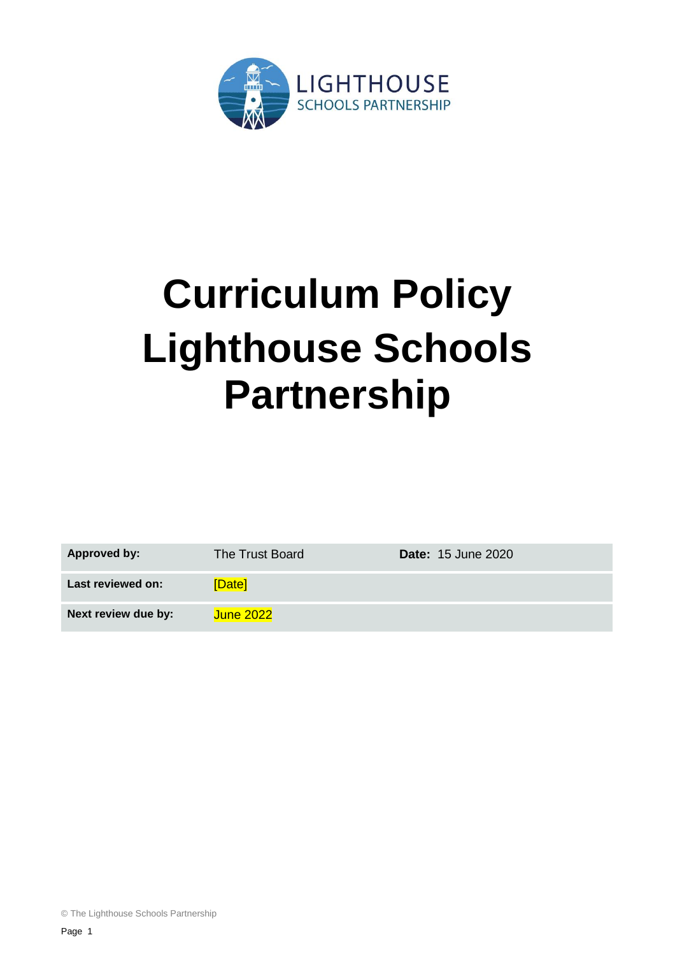

# **Curriculum Policy Lighthouse Schools Partnership**

| <b>Approved by:</b> | The Trust Board  | <b>Date: 15 June 2020</b> |
|---------------------|------------------|---------------------------|
| Last reviewed on:   | [Date]           |                           |
| Next review due by: | <b>June 2022</b> |                           |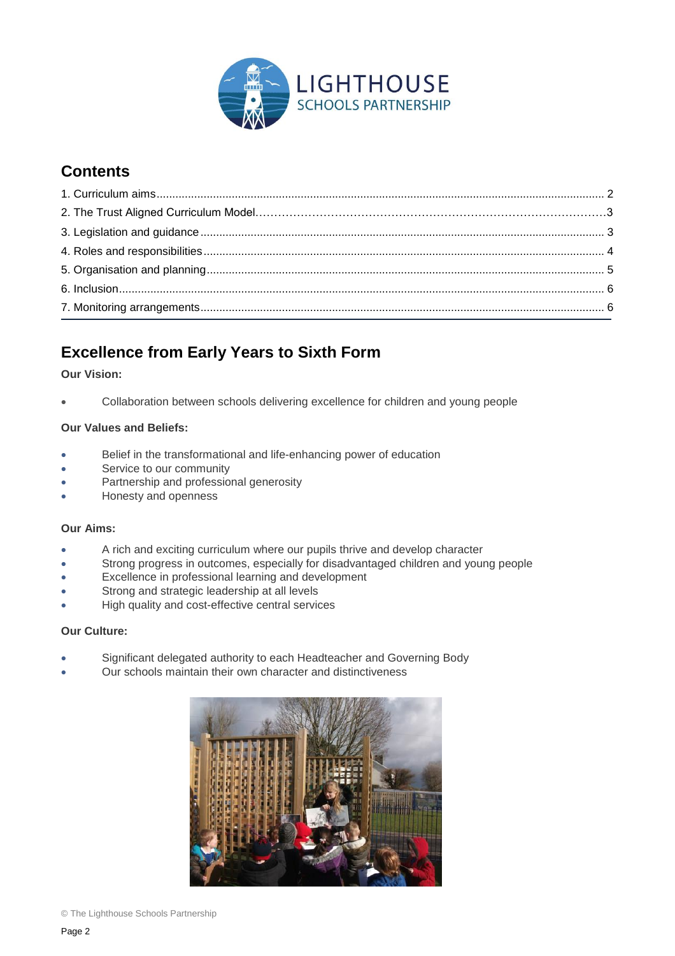

# **Contents**

# <span id="page-1-0"></span>**Excellence from Early Years to Sixth Form**

#### **Our Vision:**

Collaboration between schools delivering excellence for children and young people

#### **Our Values and Beliefs:**

- Belief in the transformational and life-enhancing power of education
- Service to our community
- Partnership and professional generosity
- Honesty and openness

#### **Our Aims:**

- A rich and exciting curriculum where our pupils thrive and develop character
- Strong progress in outcomes, especially for disadvantaged children and young people
- Excellence in professional learning and development
- Strong and strategic leadership at all levels
- High quality and cost-effective central services

#### **Our Culture:**

- Significant delegated authority to each Headteacher and Governing Body
- Our schools maintain their own character and distinctiveness

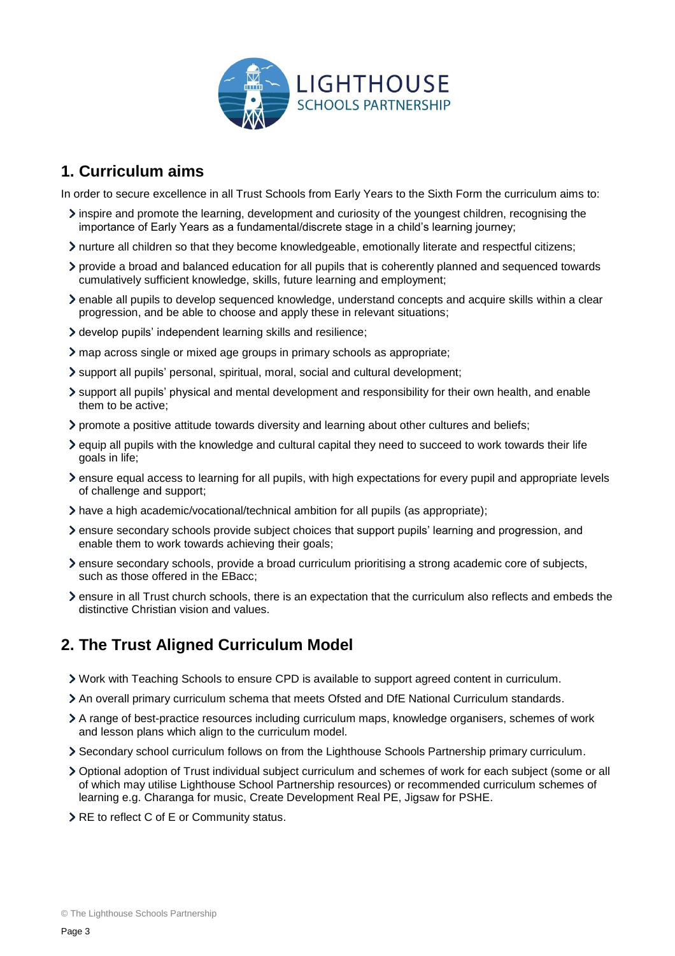

## **1. Curriculum aims**

In order to secure excellence in all Trust Schools from Early Years to the Sixth Form the curriculum aims to:

- inspire and promote the learning, development and curiosity of the youngest children, recognising the importance of Early Years as a fundamental/discrete stage in a child's learning journey;
- nurture all children so that they become knowledgeable, emotionally literate and respectful citizens;
- provide a broad and balanced education for all pupils that is coherently planned and sequenced towards cumulatively sufficient knowledge, skills, future learning and employment;
- enable all pupils to develop sequenced knowledge, understand concepts and acquire skills within a clear progression, and be able to choose and apply these in relevant situations;
- develop pupils' independent learning skills and resilience;
- map across single or mixed age groups in primary schools as appropriate;
- support all pupils' personal, spiritual, moral, social and cultural development;
- support all pupils' physical and mental development and responsibility for their own health, and enable them to be active;
- promote a positive attitude towards diversity and learning about other cultures and beliefs;
- equip all pupils with the knowledge and cultural capital they need to succeed to work towards their life goals in life;
- ensure equal access to learning for all pupils, with high expectations for every pupil and appropriate levels of challenge and support;
- have a high academic/vocational/technical ambition for all pupils (as appropriate);
- ensure secondary schools provide subject choices that support pupils' learning and progression, and enable them to work towards achieving their goals;
- ensure secondary schools, provide a broad curriculum prioritising a strong academic core of subjects, such as those offered in the EBacc;
- ensure in all Trust church schools, there is an expectation that the curriculum also reflects and embeds the distinctive Christian vision and values.

# <span id="page-2-0"></span>**2. The Trust Aligned Curriculum Model**

- Work with Teaching Schools to ensure CPD is available to support agreed content in curriculum.
- An overall primary curriculum schema that meets Ofsted and DfE National Curriculum standards.
- A range of best-practice resources including curriculum maps, knowledge organisers, schemes of work and lesson plans which align to the curriculum model.
- Secondary school curriculum follows on from the Lighthouse Schools Partnership primary curriculum.
- Optional adoption of Trust individual subject curriculum and schemes of work for each subject (some or all of which may utilise Lighthouse School Partnership resources) or recommended curriculum schemes of learning e.g. Charanga for music, Create Development Real PE, Jigsaw for PSHE.
- RE to reflect C of E or Community status.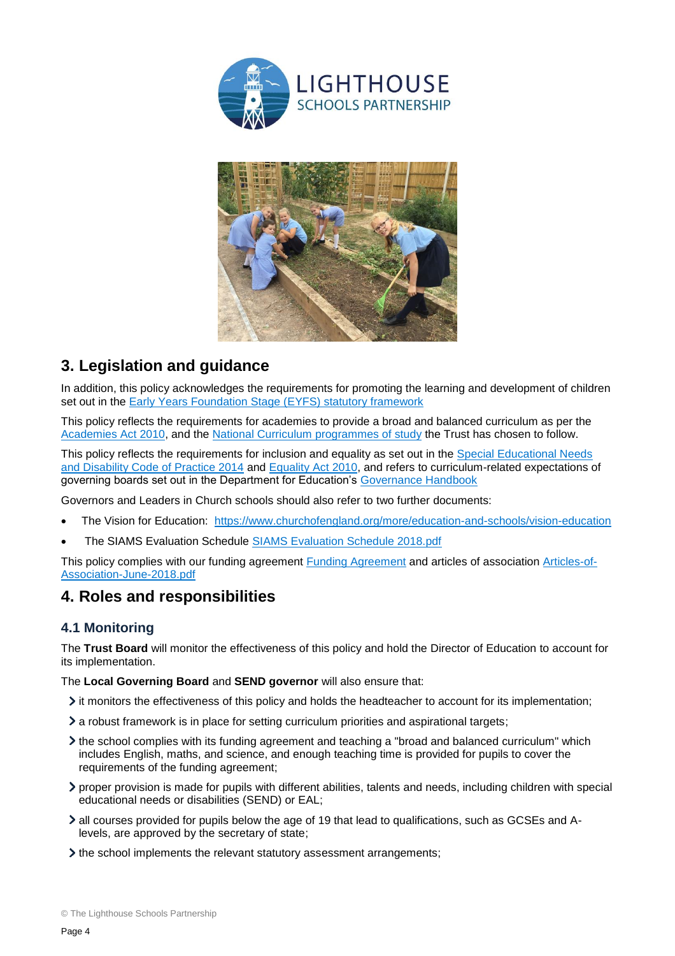



# **3. Legislation and guidance**

In addition, this policy acknowledges the requirements for promoting the learning and development of children set out in the [Early Years Foundation Stage \(EYFS\) statutory framework](https://www.gov.uk/government/publications/early-years-foundation-stage-framework--2)

This policy reflects the requirements for academies to provide a broad and balanced curriculum as per the [Academies Act 2010,](http://www.legislation.gov.uk/ukpga/2010/32/section/1A) and the [National Curriculum programmes of study](https://www.gov.uk/government/collections/national-curriculum) the Trust has chosen to follow.

This policy reflects the requirements for inclusion and equality as set out in the Special Educational Needs [and Disability Code of Practice 2014](https://www.gov.uk/government/publications/send-code-of-practice-0-to-25) and [Equality Act 2010,](http://www.legislation.gov.uk/ukpga/2010/15/part/6/chapter/1) and refers to curriculum-related expectations of governing boards set out in the Department for Education's [Governance Handbook](https://www.gov.uk/government/publications/governance-handbook)

Governors and Leaders in Church schools should also refer to two further documents:

- The Vision for Education: <https://www.churchofengland.org/more/education-and-schools/vision-education>
- The SIAMS Evaluation Schedule [SIAMS Evaluation Schedule 2018.pdf](https://www.churchofengland.org/sites/default/files/2018-04/SIAMS%20Evaluation%20Schedule%202018_0.pdf)

<span id="page-3-0"></span>This policy complies with our funding agreement [Funding Agreement](https://www.lsp.org.uk/index.php/funding-agreement/) and articles of association [Articles-of-](https://www.lsp.org.uk/wp-content/uploads/2016/07/Articles-of-Association-June-2018.pdf)[Association-June-2018.pdf](https://www.lsp.org.uk/wp-content/uploads/2016/07/Articles-of-Association-June-2018.pdf)

## **4. Roles and responsibilities**

#### **4.1 Monitoring**

The **Trust Board** will monitor the effectiveness of this policy and hold the Director of Education to account for its implementation.

The **Local Governing Board** and **SEND governor** will also ensure that:

- it monitors the effectiveness of this policy and holds the headteacher to account for its implementation;
- a robust framework is in place for setting curriculum priorities and aspirational targets;
- the school complies with its funding agreement and teaching a "broad and balanced curriculum" which includes English, maths, and science, and enough teaching time is provided for pupils to cover the requirements of the funding agreement;
- proper provision is made for pupils with different abilities, talents and needs, including children with special educational needs or disabilities (SEND) or EAL;
- all courses provided for pupils below the age of 19 that lead to qualifications, such as GCSEs and Alevels, are approved by the secretary of state;
- If the school implements the relevant statutory assessment arrangements;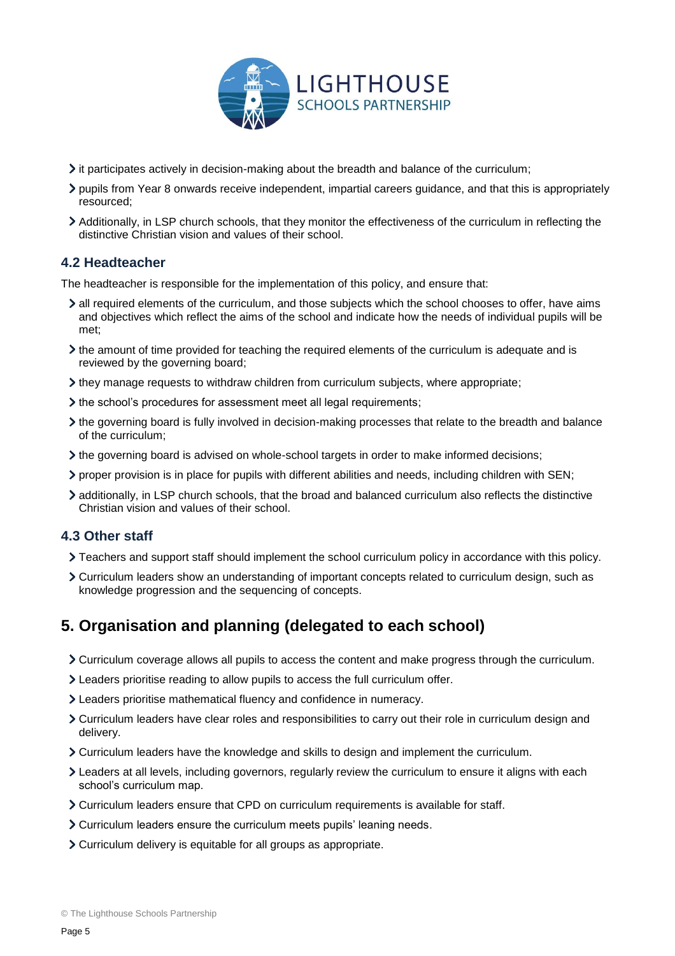

- $\triangleright$  it participates actively in decision-making about the breadth and balance of the curriculum;
- pupils from Year 8 onwards receive independent, impartial careers guidance, and that this is appropriately resourced;
- Additionally, in LSP church schools, that they monitor the effectiveness of the curriculum in reflecting the distinctive Christian vision and values of their school.

#### **4.2 Headteacher**

The headteacher is responsible for the implementation of this policy, and ensure that:

- all required elements of the curriculum, and those subjects which the school chooses to offer, have aims and objectives which reflect the aims of the school and indicate how the needs of individual pupils will be met;
- If the amount of time provided for teaching the required elements of the curriculum is adequate and is reviewed by the governing board;
- $\lambda$  they manage requests to withdraw children from curriculum subjects, where appropriate;
- the school's procedures for assessment meet all legal requirements;
- the governing board is fully involved in decision-making processes that relate to the breadth and balance of the curriculum;
- the governing board is advised on whole-school targets in order to make informed decisions;
- proper provision is in place for pupils with different abilities and needs, including children with SEN;
- additionally, in LSP church schools, that the broad and balanced curriculum also reflects the distinctive Christian vision and values of their school.

### **4.3 Other staff**

- Teachers and support staff should implement the school curriculum policy in accordance with this policy.
- Curriculum leaders show an understanding of important concepts related to curriculum design, such as knowledge progression and the sequencing of concepts.

## <span id="page-4-0"></span>**5. Organisation and planning (delegated to each school)**

- Curriculum coverage allows all pupils to access the content and make progress through the curriculum.
- Leaders prioritise reading to allow pupils to access the full curriculum offer.
- Leaders prioritise mathematical fluency and confidence in numeracy.
- Curriculum leaders have clear roles and responsibilities to carry out their role in curriculum design and delivery.
- Curriculum leaders have the knowledge and skills to design and implement the curriculum.
- Leaders at all levels, including governors, regularly review the curriculum to ensure it aligns with each school's curriculum map.
- Curriculum leaders ensure that CPD on curriculum requirements is available for staff.
- Curriculum leaders ensure the curriculum meets pupils' leaning needs.
- Curriculum delivery is equitable for all groups as appropriate.